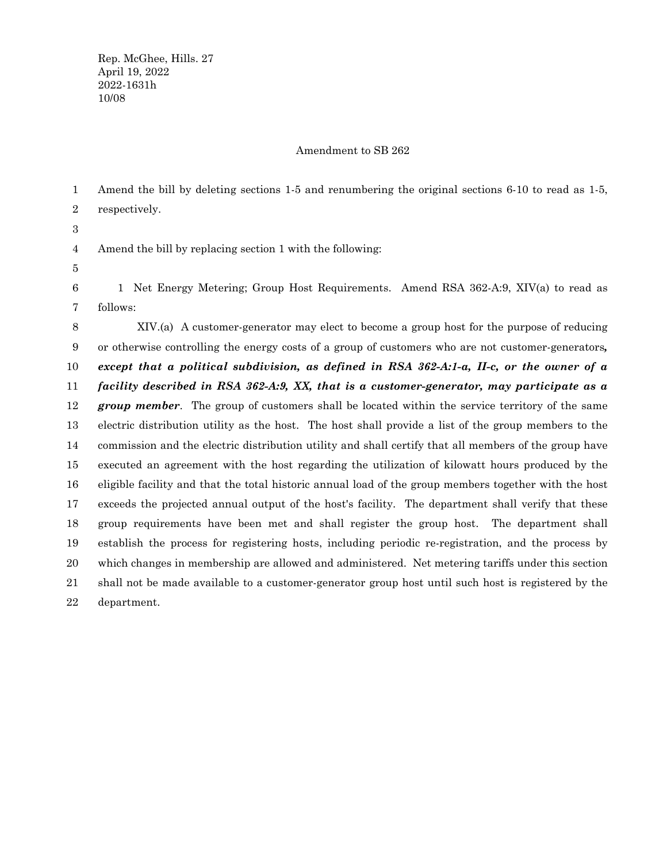## Amendment to SB 262

Amend the bill by deleting sections 1-5 and renumbering the original sections 6-10 to read as 1-5, respectively. Amend the bill by replacing section 1 with the following: 1 Net Energy Metering; Group Host Requirements. Amend RSA 362-A:9, XIV(a) to read as follows: XIV.(a) A customer-generator may elect to become a group host for the purpose of reducing or otherwise controlling the energy costs of a group of customers who are not customer-generators*, except that a political subdivision, as defined in RSA 362-A:1-a, II-c, or the owner of a facility described in RSA 362-A:9, XX, that is a customer-generator, may participate as a group member*. The group of customers shall be located within the service territory of the same electric distribution utility as the host. The host shall provide a list of the group members to the 1 2 3 4 5 6 7 8 9 10 11 12 13

commission and the electric distribution utility and shall certify that all members of the group have executed an agreement with the host regarding the utilization of kilowatt hours produced by the eligible facility and that the total historic annual load of the group members together with the host exceeds the projected annual output of the host's facility. The department shall verify that these group requirements have been met and shall register the group host. The department shall establish the process for registering hosts, including periodic re-registration, and the process by which changes in membership are allowed and administered. Net metering tariffs under this section shall not be made available to a customer-generator group host until such host is registered by the department. 14 15 16 17 18 19 20 21 22